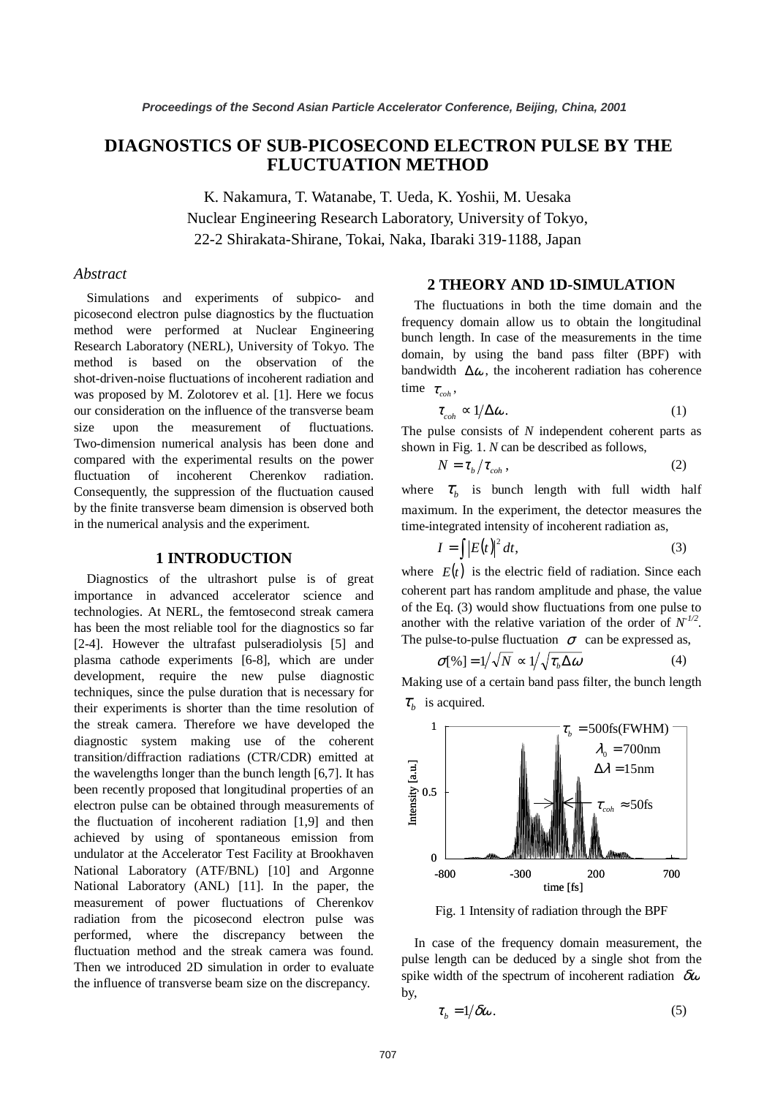# **DIAGNOSTICS OF SUB-PICOSECOND ELECTRON PULSE BY THE FLUCTUATION METHOD**

K. Nakamura, T. Watanabe, T. Ueda, K. Yoshii, M. Uesaka Nuclear Engineering Research Laboratory, University of Tokyo, 22-2 Shirakata-Shirane, Tokai, Naka, Ibaraki 319-1188, Japan

## *Abstract*

Simulations and experiments of subpico- and picosecond electron pulse diagnostics by the fluctuation method were performed at Nuclear Engineering Research Laboratory (NERL), University of Tokyo. The method is based on the observation of the shot-driven-noise fluctuations of incoherent radiation and was proposed by M. Zolotorev et al. [1]. Here we focus our consideration on the influence of the transverse beam size upon the measurement of fluctuations. Two-dimension numerical analysis has been done and compared with the experimental results on the power fluctuation of incoherent Cherenkov radiation. Consequently, the suppression of the fluctuation caused by the finite transverse beam dimension is observed both in the numerical analysis and the experiment.

## **1 INTRODUCTION**

Diagnostics of the ultrashort pulse is of great importance in advanced accelerator science and technologies. At NERL, the femtosecond streak camera has been the most reliable tool for the diagnostics so far [2-4]. However the ultrafast pulseradiolysis [5] and plasma cathode experiments [6-8], which are under development, require the new pulse diagnostic techniques, since the pulse duration that is necessary for their experiments is shorter than the time resolution of the streak camera. Therefore we have developed the diagnostic system making use of the coherent transition/diffraction radiations (CTR/CDR) emitted at the wavelengths longer than the bunch length [6,7]. It has been recently proposed that longitudinal properties of an electron pulse can be obtained through measurements of the fluctuation of incoherent radiation [1,9] and then achieved by using of spontaneous emission from undulator at the Accelerator Test Facility at Brookhaven National Laboratory (ATF/BNL) [10] and Argonne National Laboratory (ANL) [11]. In the paper, the measurement of power fluctuations of Cherenkov radiation from the picosecond electron pulse was performed, where the discrepancy between the fluctuation method and the streak camera was found. Then we introduced 2D simulation in order to evaluate the influence of transverse beam size on the discrepancy.

## **2 THEORY AND 1D-SIMULATION**

The fluctuations in both the time domain and the frequency domain allow us to obtain the longitudinal bunch length. In case of the measurements in the time domain, by using the band pass filter (BPF) with bandwidth  $\Delta\omega$ , the incoherent radiation has coherence time  $\tau_{\text{coh}}$ ,

$$
\tau_{coh} \propto 1/\Delta \omega.
$$
 (1)

The pulse consists of *N* independent coherent parts as shown in Fig. 1. *N* can be described as follows,

$$
N = \tau_b / \tau_{coh} \,, \tag{2}
$$

where  $\tau_h$  is bunch length with full width half maximum. In the experiment, the detector measures the time-integrated intensity of incoherent radiation as,

$$
I = \int |E(t)|^2 dt,
$$
 (3)

where  $E(t)$  is the electric field of radiation. Since each coherent part has random amplitude and phase, the value of the Eq. (3) would show fluctuations from one pulse to another with the relative variation of the order of  $N^{1/2}$ . The pulse-to-pulse fluctuation  $\sigma$  can be expressed as,

$$
\sigma[\%] = 1/\sqrt{N} \propto 1/\sqrt{\tau_b \Delta \omega}
$$
 (4)

Making use of a certain band pass filter, the bunch length  $\tau_h$  is acquired.



Fig. 1 Intensity of radiation through the BPF

In case of the frequency domain measurement, the pulse length can be deduced by a single shot from the spike width of the spectrum of incoherent radiation  $\delta \omega$ by,

$$
\tau_b = 1/\delta \omega. \tag{5}
$$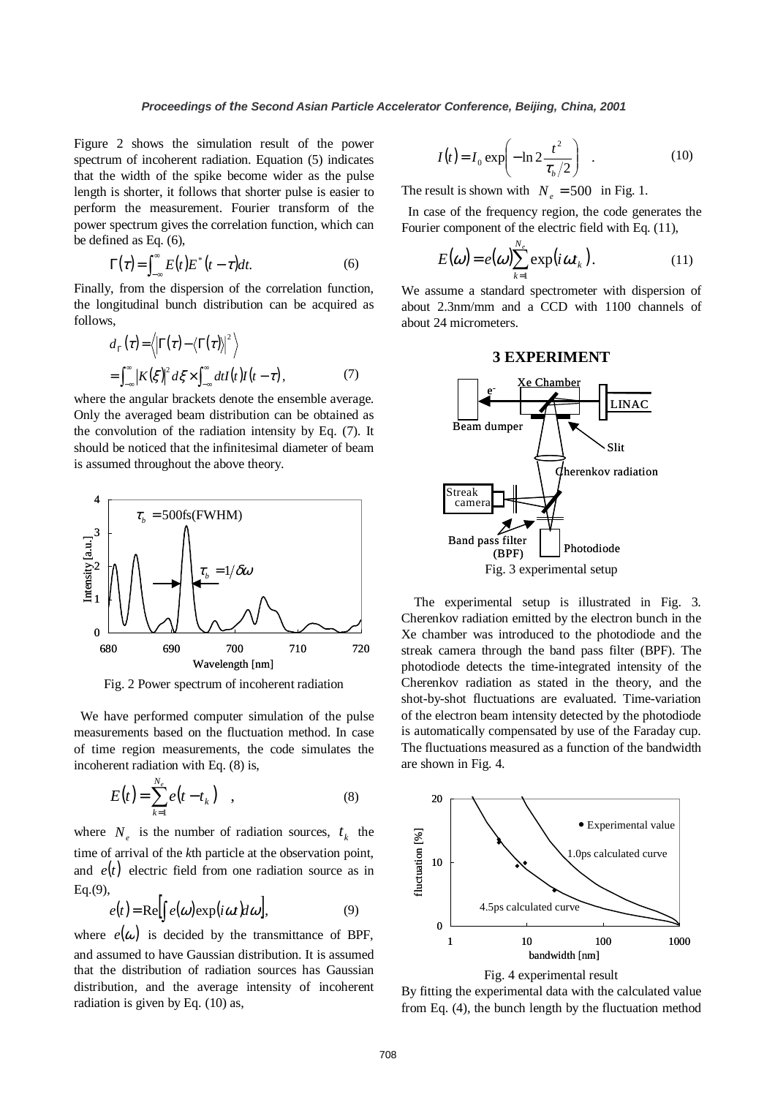Figure 2 shows the simulation result of the power spectrum of incoherent radiation. Equation (5) indicates that the width of the spike become wider as the pulse length is shorter, it follows that shorter pulse is easier to perform the measurement. Fourier transform of the power spectrum gives the correlation function, which can be defined as Eq. (6),

$$
\Gamma(\tau) = \int_{-\infty}^{\infty} E(t) E^*(t - \tau) dt.
$$
 (6)

Finally, from the dispersion of the correlation function, the longitudinal bunch distribution can be acquired as follows,

$$
d_{\Gamma}(\tau) = \langle \left| \Gamma(\tau) - \langle \Gamma(\tau) \right|^2 \rangle
$$
  
= 
$$
\int_{-\infty}^{\infty} \left| K(\xi) \right|^2 d\xi \times \int_{-\infty}^{\infty} dt I(t) I(t - \tau),
$$
 (7)

where the angular brackets denote the ensemble average. Only the averaged beam distribution can be obtained as the convolution of the radiation intensity by Eq. (7). It should be noticed that the infinitesimal diameter of beam is assumed throughout the above theory.



Fig. 2 Power spectrum of incoherent radiation

We have performed computer simulation of the pulse measurements based on the fluctuation method. In case of time region measurements, the code simulates the incoherent radiation with Eq. (8) is,

$$
E(t) = \sum_{k=1}^{N_e} e(t - t_k) \quad , \tag{8}
$$

where  $N_e$  is the number of radiation sources,  $t_k$  the time of arrival of the *k*th particle at the observation point, and  $e(t)$  electric field from one radiation source as in Eq.(9),

$$
e(t) = \text{Re}\left[\int e(\omega) \exp(i\omega t) d\omega\right],\tag{9}
$$

where  $e(\omega)$  is decided by the transmittance of BPF, and assumed to have Gaussian distribution. It is assumed that the distribution of radiation sources has Gaussian distribution, and the average intensity of incoherent radiation is given by Eq. (10) as,

$$
I(t) = I_0 \exp\left(-\ln 2 \frac{t^2}{\tau_b/2}\right) \quad . \tag{10}
$$

The result is shown with  $N_e = 500$  in Fig. 1.

In case of the frequency region, the code generates the Fourier component of the electric field with Eq. (11),

$$
E(\omega) = e(\omega) \sum_{k=1}^{N_e} \exp(i\omega t_k).
$$
 (11)

We assume a standard spectrometer with dispersion of about 2.3nm/mm and a CCD with 1100 channels of about 24 micrometers.

#### **3 EXPERIMENT**



The experimental setup is illustrated in Fig. 3. Cherenkov radiation emitted by the electron bunch in the Xe chamber was introduced to the photodiode and the streak camera through the band pass filter (BPF). The photodiode detects the time-integrated intensity of the Cherenkov radiation as stated in the theory, and the shot-by-shot fluctuations are evaluated. Time-variation of the electron beam intensity detected by the photodiode is automatically compensated by use of the Faraday cup. The fluctuations measured as a function of the bandwidth are shown in Fig. 4.





By fitting the experimental data with the calculated value from Eq. (4), the bunch length by the fluctuation method